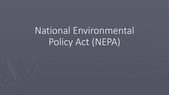National Environmental Policy Act (NEPA)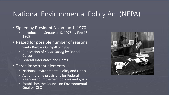# National Environmental Policy Act (NEPA)

- **Signed by President Nixon Jan 1, 1970** 
	- Introduced in Senate as S. 1075 by Feb 18, 1969
- Passed for possible number of reasons
	- Santa Barbara Oil Spill of 1969
	- Publication of *Silent Spring* by Rachel Carson
	- Federal Interstates and Dams
- Three important elements
	- National Environmental Policy and Goals
	- Action forcing provisions for Federal Agencies to implement policies and goals
	- Establishes the Council on Environmental Quality (CEQ)

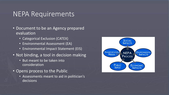#### NEPA Requirements

- Document to be an Agency prepared evaluation
	- Categorical Exclusion (CATEX)
	- Environmental Assessment (EA)
	- Environmental Impact Statement (EIS)
- Not binding, a tool in decision making
	- But meant to be taken into consideration
- Opens process to the Public
	- Assessments meant to aid in politician's decisions

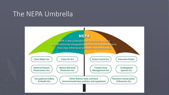# The NEPA Umbrella

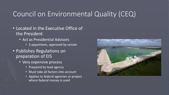# Council on Environmental Quality (CEQ)

- Located in the Executive Office of the President
	- Act as Presidential Advisors
		- 3 appointees, approved by senate
- Publishes Regulations on preparation of EIS
	- Very expensive process
		- Prepared by lead agency
		- Must take all factors into account
		- Applies to federal agencies or project where federal money is used

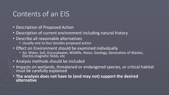### Contents of an EIS

- Description of Proposed Action
- Description of current environment including natural history
- Describe all reasonable alternatives
	- Usually one to four besides proposed action
- Effect on Environment should be examined individually
	- Air, Water, Soil, Groundwater, Wildlife, Noise, Geology, Generation of Wastes, Electro-magnetic fields, etc
- Analysis methods should be included
- Impacts on wetlands, threatened or endangered species, or critical habitat must be carefully explained
- **The analysis does not have to (and may not) support the desired alternative**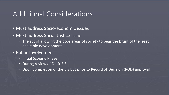### Additional Considerations

- Must address Socio-economic issues
- Must address Social Justice Issue
	- The act of allowing the poor areas of society to bear the brunt of the least desirable development
- Public Involvement
	- Initial Scoping Phase
	- During review of Draft EIS
	- Upon completion of the EIS but prior to Record of Decision (ROD) approval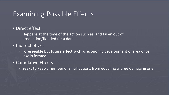## Examining Possible Effects

- Direct effect
	- Happens at the time of the action such as land taken out of production/flooded for a dam
- Indirect effect
	- Foreseeable but future effect such as economic development of area once lake is formed
- Cumulative Effects
	- Seeks to keep a number of small actions from equaling a large damaging one